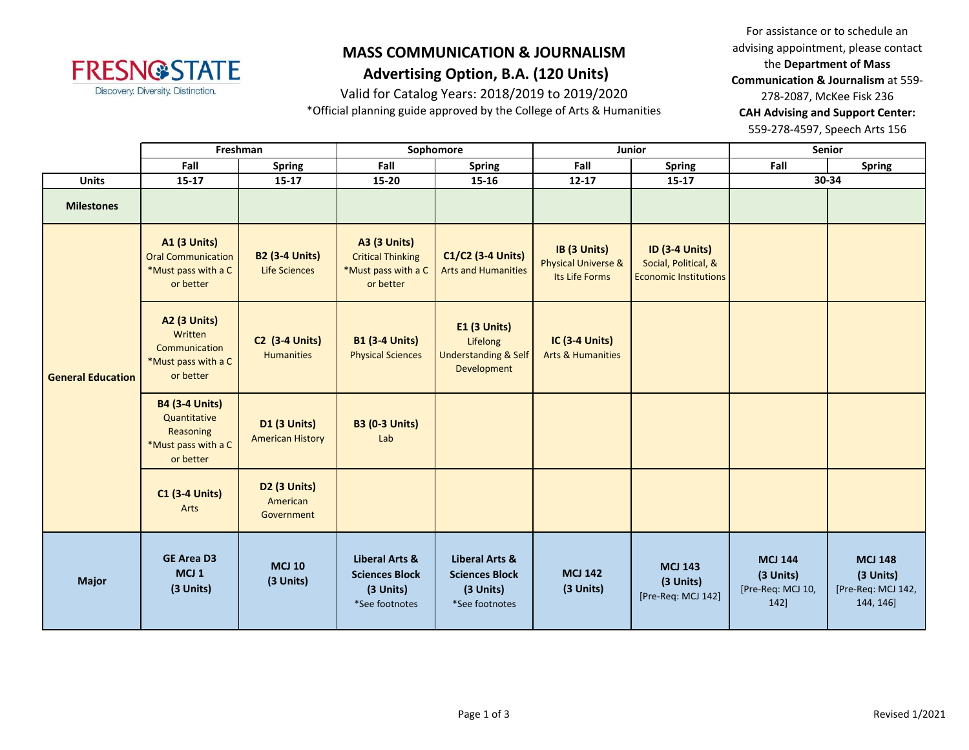

Valid for Catalog Years: 2018/2019 to 2019/2020

\*Official planning guide approved by the College of Arts & Humanities

For assistance or to schedule an advising appointment, please contact the **Department of Mass Communication & Journalism** at 559- 278-2087, McKee Fisk 236 **CAH Advising and Support Center:**  559-278-4597, Speech Arts 156

|                          | Freshman                                                                               |                                                | Sophomore                                                                           |                                                                                   | Junior                                                           |                                                                               | Senior                                                   |                                                                |
|--------------------------|----------------------------------------------------------------------------------------|------------------------------------------------|-------------------------------------------------------------------------------------|-----------------------------------------------------------------------------------|------------------------------------------------------------------|-------------------------------------------------------------------------------|----------------------------------------------------------|----------------------------------------------------------------|
|                          | Fall<br><b>Spring</b>                                                                  |                                                | Fall                                                                                | <b>Spring</b>                                                                     | Fall                                                             | <b>Spring</b>                                                                 | Fall                                                     | <b>Spring</b>                                                  |
| <b>Units</b>             | $15 - 17$                                                                              | 15-17                                          | 15-20                                                                               | $15 - 16$                                                                         | $12 - 17$                                                        | $15 - 17$                                                                     |                                                          | 30-34                                                          |
| <b>Milestones</b>        |                                                                                        |                                                |                                                                                     |                                                                                   |                                                                  |                                                                               |                                                          |                                                                |
|                          | <b>A1 (3 Units)</b><br><b>Oral Communication</b><br>*Must pass with a C<br>or better   | <b>B2 (3-4 Units)</b><br><b>Life Sciences</b>  | <b>A3 (3 Units)</b><br><b>Critical Thinking</b><br>*Must pass with a C<br>or better | C1/C2 (3-4 Units)<br><b>Arts and Humanities</b>                                   | IB (3 Units)<br><b>Physical Universe &amp;</b><br>Its Life Forms | <b>ID (3-4 Units)</b><br>Social, Political, &<br><b>Economic Institutions</b> |                                                          |                                                                |
| <b>General Education</b> | <b>A2 (3 Units)</b><br>Written<br>Communication<br>*Must pass with a C<br>or better    | <b>C2 (3-4 Units)</b><br><b>Humanities</b>     | <b>B1 (3-4 Units)</b><br><b>Physical Sciences</b>                                   | <b>E1 (3 Units)</b><br>Lifelong<br><b>Understanding &amp; Self</b><br>Development | <b>IC (3-4 Units)</b><br><b>Arts &amp; Humanities</b>            |                                                                               |                                                          |                                                                |
|                          | <b>B4 (3-4 Units)</b><br>Quantitative<br>Reasoning<br>*Must pass with a C<br>or better | <b>D1 (3 Units)</b><br><b>American History</b> | <b>B3 (0-3 Units)</b><br>Lab                                                        |                                                                                   |                                                                  |                                                                               |                                                          |                                                                |
|                          | <b>C1 (3-4 Units)</b><br>Arts                                                          | D2 (3 Units)<br>American<br>Government         |                                                                                     |                                                                                   |                                                                  |                                                                               |                                                          |                                                                |
| <b>Major</b>             | <b>GE Area D3</b><br>MCJ <sub>1</sub><br>(3 Units)                                     | <b>MCJ 10</b><br>(3 Units)                     | <b>Liberal Arts &amp;</b><br><b>Sciences Block</b><br>(3 Units)<br>*See footnotes   | Liberal Arts &<br><b>Sciences Block</b><br>(3 Units)<br>*See footnotes            | <b>MCJ 142</b><br>(3 Units)                                      | <b>MCJ 143</b><br>(3 Units)<br>[Pre-Req: MCJ 142]                             | <b>MCJ 144</b><br>(3 Units)<br>[Pre-Req: MCJ 10,<br>142] | <b>MCJ 148</b><br>(3 Units)<br>[Pre-Req: MCJ 142,<br>144, 146] |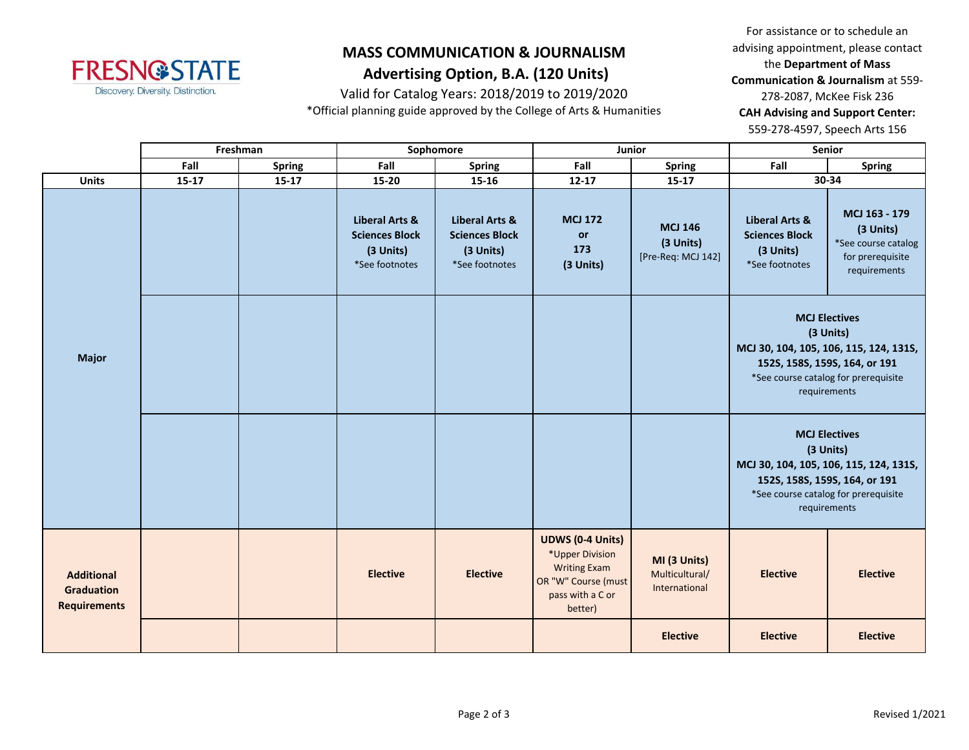

Valid for Catalog Years: 2018/2019 to 2019/2020

\*Official planning guide approved by the College of Arts & Humanities

For assistance or to schedule an advising appointment, please contact the **Department of Mass Communication & Journalism** at 559- 278-2087, McKee Fisk 236 **CAH Advising and Support Center:**  559-278-4597, Speech Arts 156

|                                                               |           | Freshman<br>Sophomore<br>Junior |                                                                                   | Senior                                                                            |                                                                                                                         |                                                   |                                                                                   |                                                                                                                                                                      |
|---------------------------------------------------------------|-----------|---------------------------------|-----------------------------------------------------------------------------------|-----------------------------------------------------------------------------------|-------------------------------------------------------------------------------------------------------------------------|---------------------------------------------------|-----------------------------------------------------------------------------------|----------------------------------------------------------------------------------------------------------------------------------------------------------------------|
|                                                               | Fall      | <b>Spring</b>                   | Fall                                                                              | Spring                                                                            | Fall                                                                                                                    | <b>Spring</b>                                     | Fall                                                                              | <b>Spring</b>                                                                                                                                                        |
| <b>Units</b>                                                  | $15 - 17$ | $15 - 17$                       | 15-20                                                                             | 15-16                                                                             | $12 - 17$                                                                                                               | $15 - 17$                                         |                                                                                   | 30-34                                                                                                                                                                |
| <b>Major</b>                                                  |           |                                 | <b>Liberal Arts &amp;</b><br><b>Sciences Block</b><br>(3 Units)<br>*See footnotes | <b>Liberal Arts &amp;</b><br><b>Sciences Block</b><br>(3 Units)<br>*See footnotes | <b>MCJ 172</b><br>or<br>173<br>(3 Units)                                                                                | <b>MCJ 146</b><br>(3 Units)<br>[Pre-Req: MCJ 142] | <b>Liberal Arts &amp;</b><br><b>Sciences Block</b><br>(3 Units)<br>*See footnotes | MCJ 163 - 179<br>(3 Units)<br>*See course catalog<br>for prerequisite<br>requirements                                                                                |
|                                                               |           |                                 |                                                                                   |                                                                                   |                                                                                                                         |                                                   |                                                                                   | <b>MCJ Electives</b><br>(3 Units)<br>MCJ 30, 104, 105, 106, 115, 124, 131S,<br>152S, 158S, 159S, 164, or 191<br>*See course catalog for prerequisite<br>requirements |
|                                                               |           |                                 |                                                                                   |                                                                                   |                                                                                                                         |                                                   | 152S, 158S, 159S, 164, or 191                                                     | <b>MCJ Electives</b><br>(3 Units)<br>MCJ 30, 104, 105, 106, 115, 124, 131S,<br>*See course catalog for prerequisite<br>requirements                                  |
| <b>Additional</b><br><b>Graduation</b><br><b>Requirements</b> |           |                                 | <b>Elective</b>                                                                   | <b>Elective</b>                                                                   | <b>UDWS (0-4 Units)</b><br>*Upper Division<br><b>Writing Exam</b><br>OR "W" Course (must<br>pass with a C or<br>better) | MI (3 Units)<br>Multicultural/<br>International   | <b>Elective</b>                                                                   | <b>Elective</b>                                                                                                                                                      |
|                                                               |           |                                 |                                                                                   |                                                                                   |                                                                                                                         | <b>Elective</b>                                   | <b>Elective</b>                                                                   | <b>Elective</b>                                                                                                                                                      |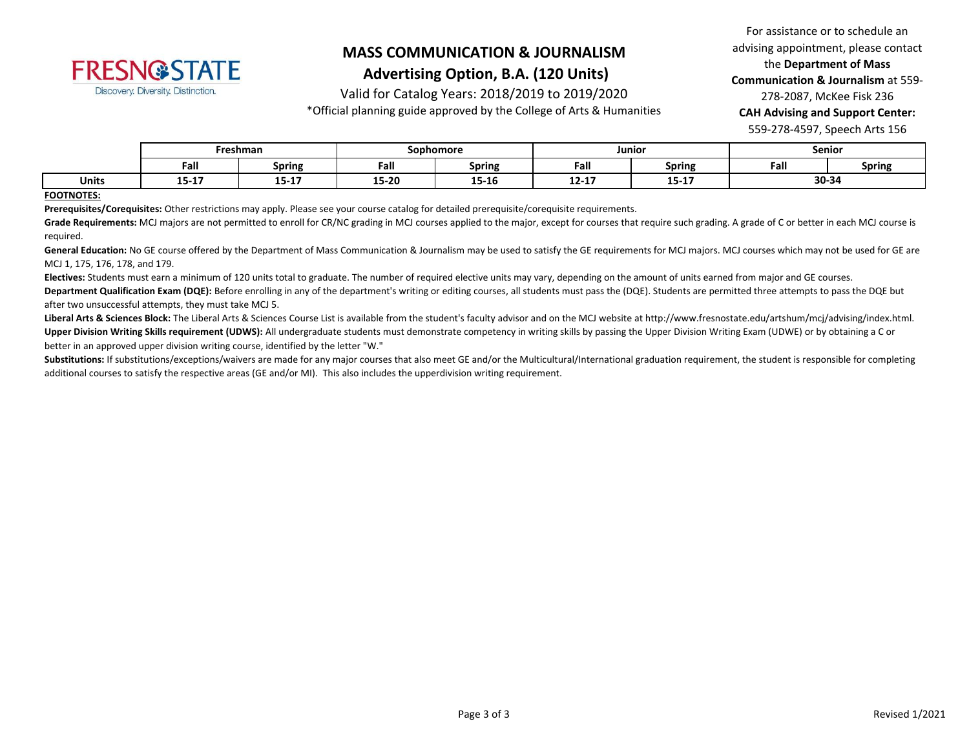

Valid for Catalog Years: 2018/2019 to 2019/2020

\*Official planning guide approved by the College of Arts & Humanities

For assistance or to schedule an advising appointment, please contact the **Department of Mass Communication & Journalism** at 559- 278-2087, McKee Fisk 236 **CAH Advising and Support Center:**  559-278-4597, Speech Arts 156

|              | Freshman     |                   | Sophomore             |                       | Junior    |                  | Senior |        |
|--------------|--------------|-------------------|-----------------------|-----------------------|-----------|------------------|--------|--------|
|              | Fall         | <b>Spring</b>     | Fall                  | <b>Spring</b>         | -<br>Fall | <b>Spring</b>    | Fall   | Spring |
| <b>Units</b> | --<br>13-T V | $-10.47$<br>19-TI | <b>15.30</b><br>エコームひ | <b>AP 40</b><br>15-10 | $12 - 17$ | 1 F 1 7<br>15-TV | 30-34  |        |

#### **FOOTNOTES:**

**Prerequisites/Corequisites:** Other restrictions may apply. Please see your course catalog for detailed prerequisite/corequisite requirements.

Grade Requirements: MCJ majors are not permitted to enroll for CR/NC grading in MCJ courses applied to the major, except for courses that require such grading. A grade of C or better in each MCJ course is required.

General Education: No GE course offered by the Department of Mass Communication & Journalism may be used to satisfy the GE requirements for MCJ majors. MCJ courses which may not be used for GE are MCJ 1, 175, 176, 178, and 179.

**Electives:** Students must earn a minimum of 120 units total to graduate. The number of required elective units may vary, depending on the amount of units earned from major and GE courses.

Department Qualification Exam (DQE): Before enrolling in any of the department's writing or editing courses, all students must pass the (DQE). Students are permitted three attempts to pass the DQE but after two unsuccessful attempts, they must take MCJ 5.

Liberal Arts & Sciences Block: The Liberal Arts & Sciences Course List is available from the student's faculty advisor and on the MCJ website at http://www.fresnostate.edu/artshum/mcj/advising/index.html. **Upper Division Writing Skills requirement (UDWS):** All undergraduate students must demonstrate competency in writing skills by passing the Upper Division Writing Exam (UDWE) or by obtaining a C or better in an approved upper division writing course, identified by the letter "W."

Substitutions: If substitutions/exceptions/waivers are made for any major courses that also meet GE and/or the Multicultural/International graduation requirement, the student is responsible for completing additional courses to satisfy the respective areas (GE and/or MI). This also includes the upperdivision writing requirement.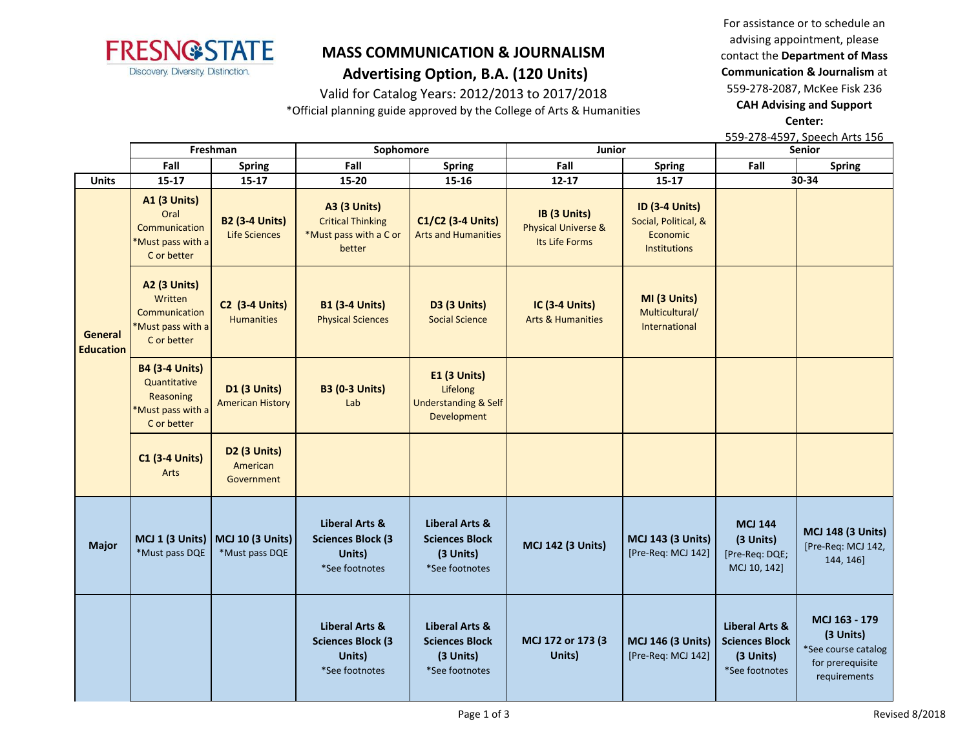

### Valid for Catalog Years: 2012/2013 to 2017/2018

\*Official planning guide approved by the College of Arts & Humanities

For assistance or to schedule an advising appointment, please contact the **Department of Mass Communication & Journalism** at 559-278-2087, McKee Fisk 236 **CAH Advising and Support Center:** 

**Fall Spring Fall Spring Fall Spring Fall Spring Units 15-17 15-17 15-20 15-16 12-17 15-17 A1 (3 Units)** Oral Communication \*Must pass with a C or better **B2 (3-4 Units)** Life Sciences **A3 (3 Units)** Critical Thinking \*Must pass with a C or better **C1/C2 (3-4 Units)** Arts and Humanities **IB (3 Units)** Physical Universe & Its Life Forms **ID (3-4 Units)** Social, Political, & Economic Institutions **A2 (3 Units)** Written **Communication** \*Must pass with a C or better **C2 (3-4 Units) Humanities B1 (3-4 Units)** Physical Sciences **D3 (3 Units)** Social Science **IC (3-4 Units)** Arts & Humanities **MI (3 Units)** Multicultural/ International **B4 (3-4 Units) Quantitative** Reasoning \*Must pass with a C or better **D1 (3 Units)** American History **B3 (0-3 Units)** Lab **E1 (3 Units)** Lifelong Understanding & Self Development **C1 (3-4 Units)** Arts **D2 (3 Units)** American Government **Major MCJ 1 (3 Units)** \*Must pass DQE **MCJ 10 (3 Units)** \*Must pass DQE **Liberal Arts & Sciences Block (3 Units)** \*See footnotes **Liberal Arts & Sciences Block (3 Units)** \*See footnotes **MCJ 142 (3 Units) MCJ 143 (3 Units)** [Pre-Req: MCJ 142] **MCJ 144 (3 Units)** [Pre-Req: DQE; MCJ 10, 142] **MCJ 148 (3 Units)** [Pre-Req: MCJ 142, 144, 146] **Liberal Arts & Sciences Block (3 Units)** \*See footnotes **Liberal Arts & Sciences Block (3 Units)** \*See footnotes **MCJ 172 or 173 (3 Units) MCJ 146 (3 Units)** [Pre-Req: MCJ 142] **Liberal Arts & Sciences Block (3 Units)** \*See footnotes **MCJ 163 - 179 (3 Units)** \*See course catalog for prerequisite requirements 559-278-4597, Speech Arts 156 **Freshman Sophomore Junior Senior 30-34 General Education**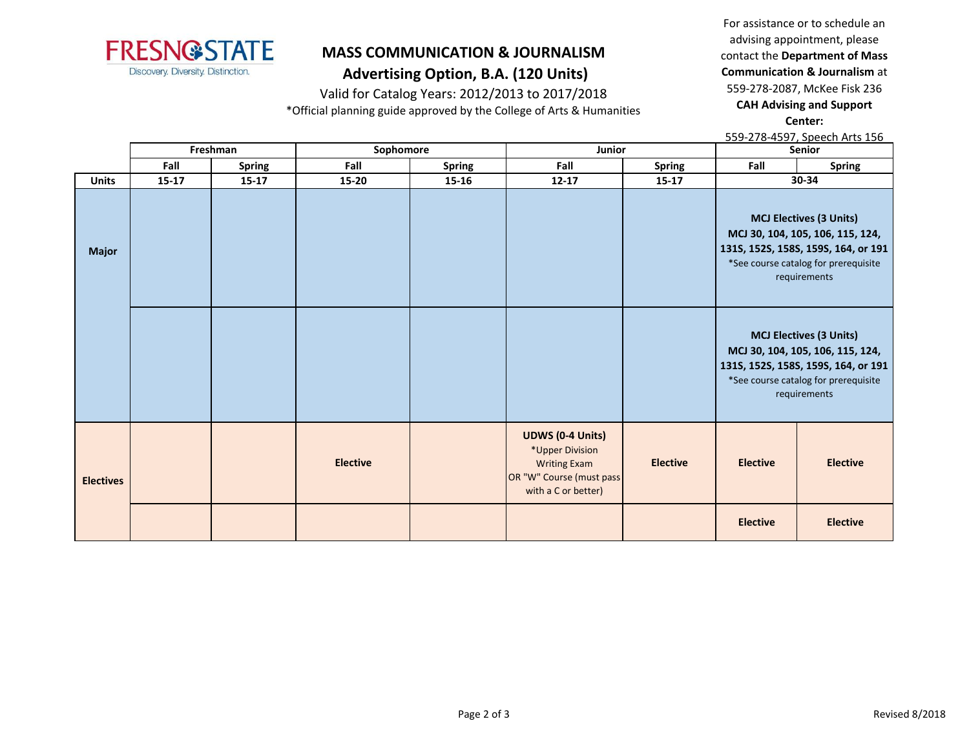

# **MASS COMMUNICATION & JOURNALISM**

# **Advertising Option, B.A. (120 Units)**

Valid for Catalog Years: 2012/2013 to 2017/2018

\*Official planning guide approved by the College of Arts & Humanities

For assistance or to schedule an advising appointment, please contact the **Department of Mass Communication & Journalism** at 559-278-2087, McKee Fisk 236 **CAH Advising and Support Center:** 

559-278-4597, Speech Arts 156

|                  | Freshman  |               | Sophomore       |               | Junior                                                                                                               |                 | Senior          |                                                                                                                                                                   |
|------------------|-----------|---------------|-----------------|---------------|----------------------------------------------------------------------------------------------------------------------|-----------------|-----------------|-------------------------------------------------------------------------------------------------------------------------------------------------------------------|
|                  | Fall      | <b>Spring</b> | Fall            | <b>Spring</b> | Fall                                                                                                                 | <b>Spring</b>   | Fall            | <b>Spring</b>                                                                                                                                                     |
| <b>Units</b>     | $15 - 17$ | $15 - 17$     | 15-20           | 15-16         | $12 - 17$                                                                                                            | $15 - 17$       |                 | 30-34                                                                                                                                                             |
| <b>Major</b>     |           |               |                 |               |                                                                                                                      |                 |                 | <b>MCJ Electives (3 Units)</b><br>MCJ 30, 104, 105, 106, 115, 124,<br>131S, 152S, 158S, 159S, 164, or 191<br>*See course catalog for prerequisite<br>requirements |
|                  |           |               |                 |               |                                                                                                                      |                 |                 | <b>MCJ Electives (3 Units)</b><br>MCJ 30, 104, 105, 106, 115, 124,<br>1315, 1525, 1585, 1595, 164, or 191<br>*See course catalog for prerequisite<br>requirements |
| <b>Electives</b> |           |               | <b>Elective</b> |               | <b>UDWS (0-4 Units)</b><br>*Upper Division<br><b>Writing Exam</b><br>OR "W" Course (must pass<br>with a C or better) | <b>Elective</b> | <b>Elective</b> | <b>Elective</b>                                                                                                                                                   |
|                  |           |               |                 |               |                                                                                                                      |                 | <b>Elective</b> | <b>Elective</b>                                                                                                                                                   |